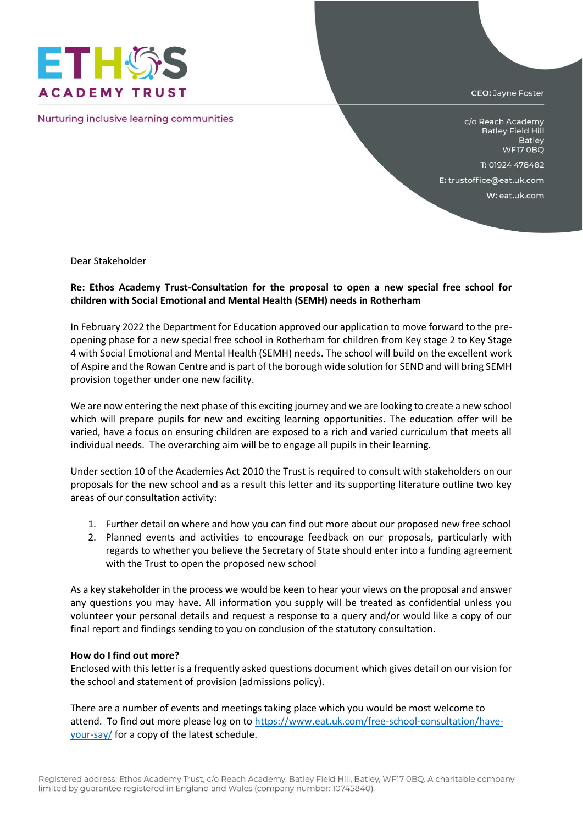

Nurturing inclusive learning communities

CEO: Jayne Foster

c/o Reach Academy **Batley Field Hill Batley** WF17 OBQ

T: 01924 478482

E: trustoffice@eat.uk.com

W: eat.uk.com

Dear Stakeholder

## **Re: Ethos Academy Trust-Consultation for the proposal to open a new special free school for children with Social Emotional and Mental Health (SEMH) needs in Rotherham**

In February 2022 the Department for Education approved our application to move forward to the preopening phase for a new special free school in Rotherham for children from Key stage 2 to Key Stage 4 with Social Emotional and Mental Health (SEMH) needs. The school will build on the excellent work of Aspire and the Rowan Centre and is part of the borough wide solution for SEND and will bring SEMH provision together under one new facility.

We are now entering the next phase of this exciting journey and we are looking to create a new school which will prepare pupils for new and exciting learning opportunities. The education offer will be varied, have a focus on ensuring children are exposed to a rich and varied curriculum that meets all individual needs. The overarching aim will be to engage all pupils in their learning.

Under section 10 of the Academies Act 2010 the Trust is required to consult with stakeholders on our proposals for the new school and as a result this letter and its supporting literature outline two key areas of our consultation activity:

- 1. Further detail on where and how you can find out more about our proposed new free school
- 2. Planned events and activities to encourage feedback on our proposals, particularly with regards to whether you believe the Secretary of State should enter into a funding agreement with the Trust to open the proposed new school

As a key stakeholder in the process we would be keen to hear your views on the proposal and answer any questions you may have. All information you supply will be treated as confidential unless you volunteer your personal details and request a response to a query and/or would like a copy of our final report and findings sending to you on conclusion of the statutory consultation.

## **How do I find out more?**

Enclosed with this letter is a frequently asked questions document which gives detail on our vision for the school and statement of provision (admissions policy).

There are a number of events and meetings taking place which you would be most welcome to attend. To find out more please log on to [https://www.eat.uk.com/free-school-consultation/have](https://www.eat.uk.com/free-school-consultation/have-your-say/)[your-say/](https://www.eat.uk.com/free-school-consultation/have-your-say/) for a copy of the latest schedule.